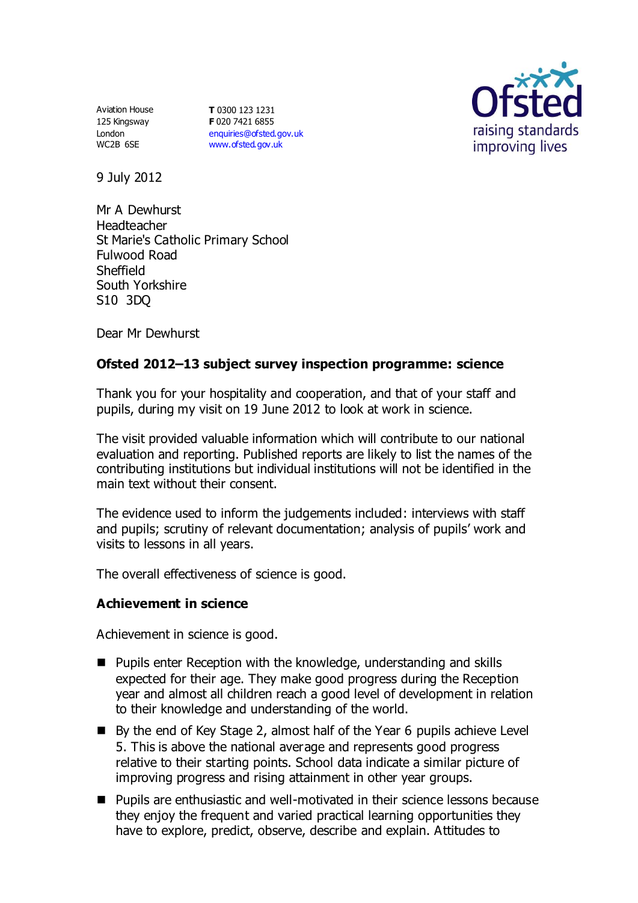Aviation House 125 Kingsway London WC2B 6SE

**T** 0300 123 1231 **F** 020 7421 6855 [enquiries@ofsted.gov.uk](mailto:enquiries@ofsted.gov.uk) [www.ofsted.gov.uk](http://www.ofsted.gov.uk/)



9 July 2012

Mr A Dewhurst Headteacher St Marie's Catholic Primary School Fulwood Road Sheffield South Yorkshire S10 3DQ

Dear Mr Dewhurst

# **Ofsted 2012–13 subject survey inspection programme: science**

Thank you for your hospitality and cooperation, and that of your staff and pupils, during my visit on 19 June 2012 to look at work in science.

The visit provided valuable information which will contribute to our national evaluation and reporting. Published reports are likely to list the names of the contributing institutions but individual institutions will not be identified in the main text without their consent.

The evidence used to inform the judgements included: interviews with staff and pupils; scrutiny of relevant documentation; analysis of pupils' work and visits to lessons in all years.

The overall effectiveness of science is good.

# **Achievement in science**

Achievement in science is good.

- Pupils enter Reception with the knowledge, understanding and skills expected for their age. They make good progress during the Reception year and almost all children reach a good level of development in relation to their knowledge and understanding of the world.
- By the end of Key Stage 2, almost half of the Year 6 pupils achieve Level 5. This is above the national average and represents good progress relative to their starting points. School data indicate a similar picture of improving progress and rising attainment in other year groups.
- Pupils are enthusiastic and well-motivated in their science lessons because they enjoy the frequent and varied practical learning opportunities they have to explore, predict, observe, describe and explain. Attitudes to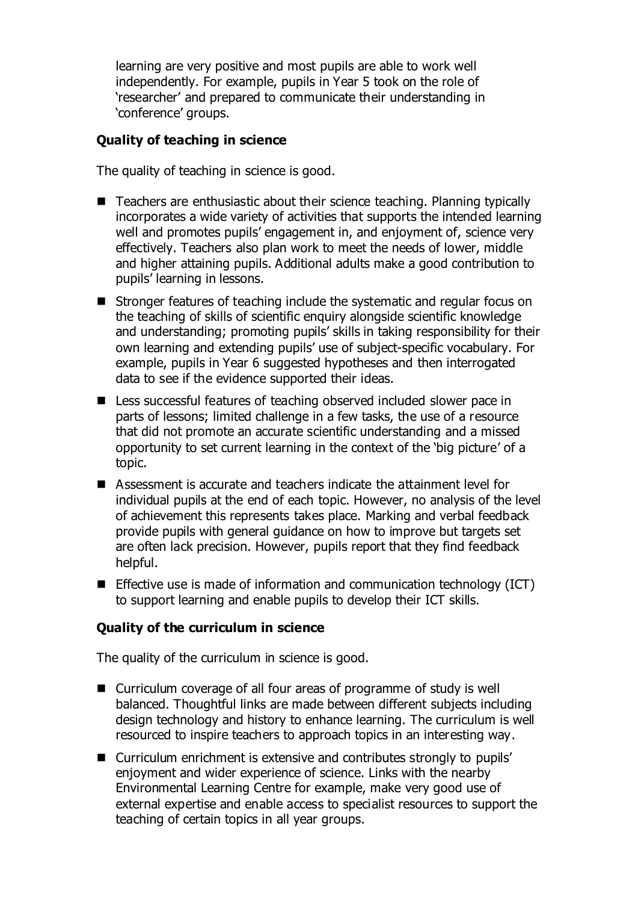learning are very positive and most pupils are able to work well independently. For example, pupils in Year 5 took on the role of 'researcher' and prepared to communicate their understanding in 'conference' groups.

### **Quality of teaching in science**

The quality of teaching in science is good.

- Teachers are enthusiastic about their science teaching. Planning typically incorporates a wide variety of activities that supports the intended learning well and promotes pupils' engagement in, and enjoyment of, science very effectively. Teachers also plan work to meet the needs of lower, middle and higher attaining pupils. Additional adults make a good contribution to pupils' learning in lessons.
- Stronger features of teaching include the systematic and regular focus on the teaching of skills of scientific enquiry alongside scientific knowledge and understanding; promoting pupils' skills in taking responsibility for their own learning and extending pupils' use of subject-specific vocabulary. For example, pupils in Year 6 suggested hypotheses and then interrogated data to see if the evidence supported their ideas.
- Less successful features of teaching observed included slower pace in parts of lessons; limited challenge in a few tasks, the use of a resource that did not promote an accurate scientific understanding and a missed opportunity to set current learning in the context of the 'big picture' of a topic.
- Assessment is accurate and teachers indicate the attainment level for individual pupils at the end of each topic. However, no analysis of the level of achievement this represents takes place. Marking and verbal feedback provide pupils with general guidance on how to improve but targets set are often lack precision. However, pupils report that they find feedback helpful.
- **Effective use is made of information and communication technology (ICT)** to support learning and enable pupils to develop their ICT skills.

### **Quality of the curriculum in science**

The quality of the curriculum in science is good.

- Curriculum coverage of all four areas of programme of study is well balanced. Thoughtful links are made between different subjects including design technology and history to enhance learning. The curriculum is well resourced to inspire teachers to approach topics in an interesting way.
- Curriculum enrichment is extensive and contributes strongly to pupils' enjoyment and wider experience of science. Links with the nearby Environmental Learning Centre for example, make very good use of external expertise and enable access to specialist resources to support the teaching of certain topics in all year groups.